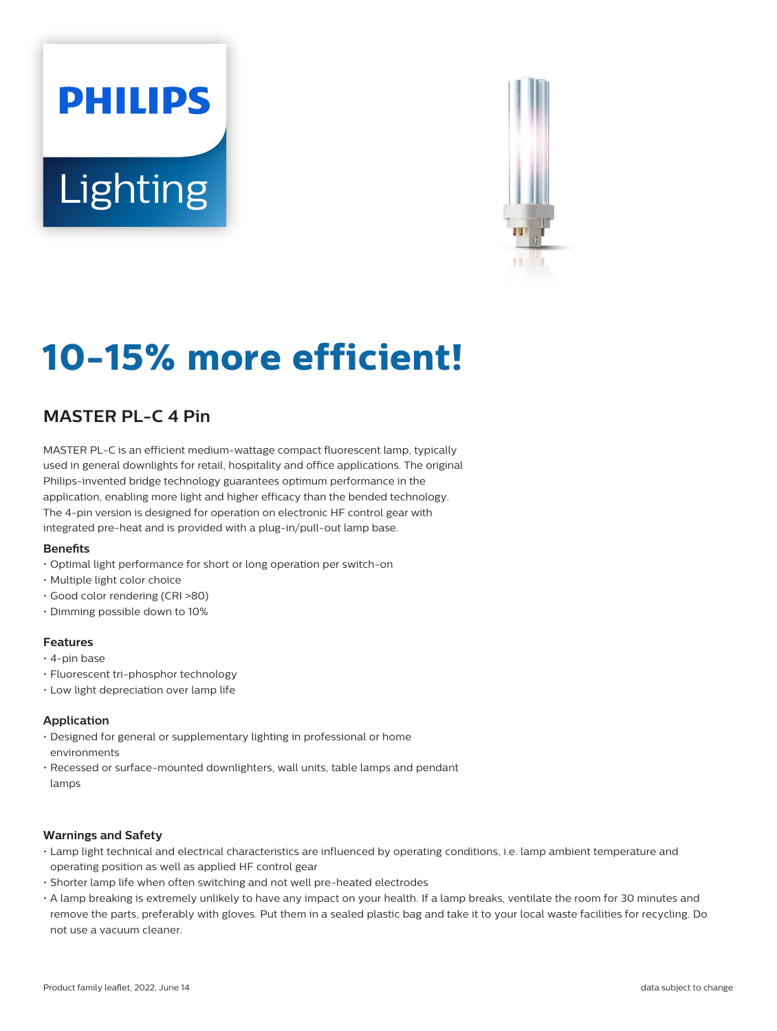# **PHILIPS Lighting**



# **10-15% more efficient!**

# **MASTER PL-C 4 Pin**

MASTER PL-C is an efficient medium-wattage compact fluorescent lamp, typically used in general downlights for retail, hospitality and office applications. The original Philips-invented bridge technology guarantees optimum performance in the application, enabling more light and higher efficacy than the bended technology. The 4-pin version is designed for operation on electronic HF control gear with integrated pre-heat and is provided with a plug-in/pull-out lamp base.

#### **Benefits**

- Optimal light performance for short or long operation per switch-on
- Multiple light color choice
- Good color rendering (CRI >80)
- Dimming possible down to 10%

#### **Features**

- 4-pin base
- Fluorescent tri-phosphor technology
- Low light depreciation over lamp life

#### **Application**

- Designed for general or supplementary lighting in professional or home environments
- Recessed or surface-mounted downlighters, wall units, table lamps and pendant lamps

#### **Warnings and Safety**

- Lamp light technical and electrical characteristics are influenced by operating conditions, i.e. lamp ambient temperature and operating position as well as applied HF control gear
- Shorter lamp life when often switching and not well pre-heated electrodes
- A lamp breaking is extremely unlikely to have any impact on your health. If a lamp breaks, ventilate the room for 30 minutes and remove the parts, preferably with gloves. Put them in a sealed plastic bag and take it to your local waste facilities for recycling. Do not use a vacuum cleaner.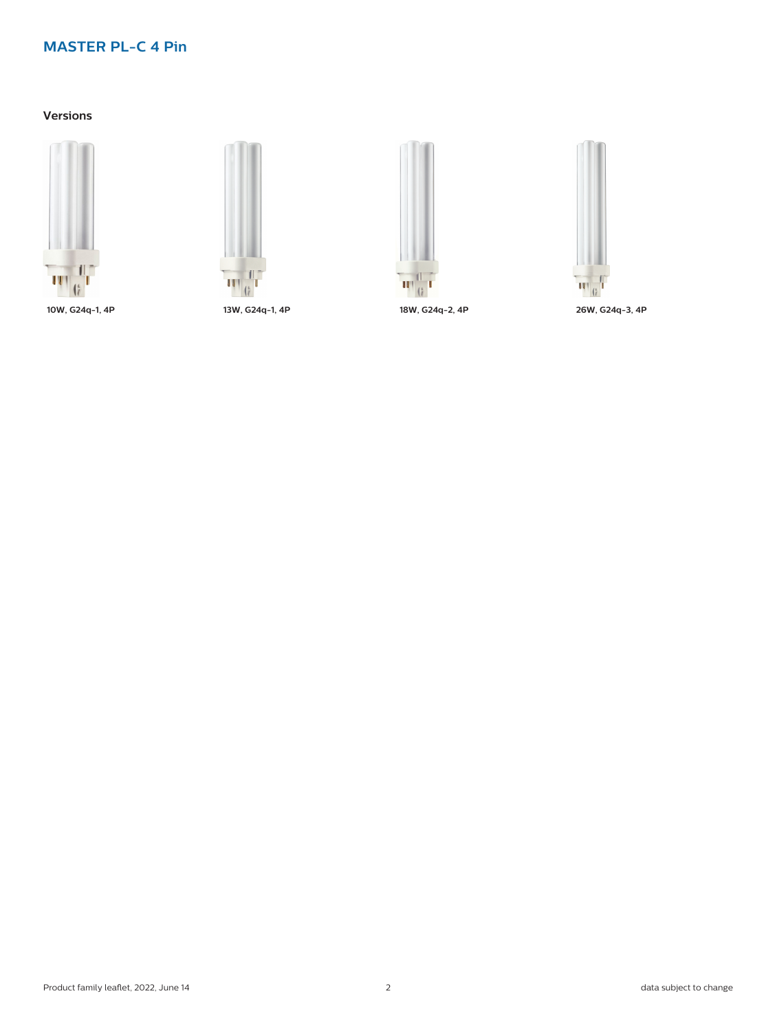#### **Versions**









**10W, G24q-1, 4P 13W, G24q-1, 4P 18W, G24q-2, 4P 26W, G24q-3, 4P**

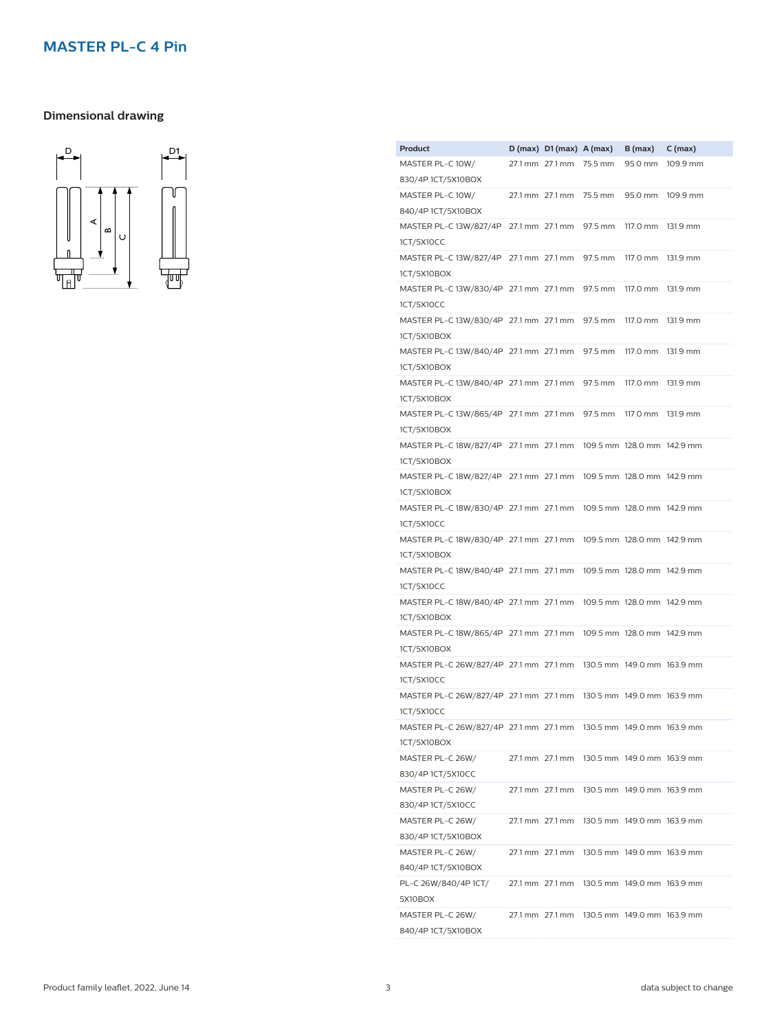# **Dimensional drawing**



| Product                                                           | $D(max)$ $D1(max)$ $A(max)$ |                                            | B (max)                    | C(max)   |
|-------------------------------------------------------------------|-----------------------------|--------------------------------------------|----------------------------|----------|
| MASTER PL-C 10W/                                                  |                             | 27.1 mm 27.1 mm 75.5 mm                    | 95.0 mm                    | 109.9 mm |
| 830/4P 1CT/5X10BOX                                                |                             |                                            |                            |          |
| MASTER PL-C 10W/                                                  | 27.1 mm 27.1 mm             | 75.5 mm                                    | 95.0 mm                    | 109.9 mm |
| 840/4P 1CT/5X10BOX                                                |                             |                                            |                            |          |
| MASTER PL-C 13W/827/4P 27.1 mm 27.1 mm                            |                             | 97.5 mm                                    | 117.0 mm                   | 131.9 mm |
| 1CT/5X10CC                                                        |                             |                                            |                            |          |
| MASTER PL-C 13W/827/4P 27.1 mm 27.1 mm                            |                             | 97.5 mm                                    | 117.0 mm                   | 131.9 mm |
| 1CT/5X10BOX                                                       |                             |                                            |                            |          |
| MASTER PL-C 13W/830/4P 27.1 mm 27.1 mm                            |                             | 97.5 mm                                    | 117.0 mm                   | 131.9 mm |
| 1CT/5X10CC                                                        |                             |                                            |                            |          |
| MASTER PL-C 13W/830/4P 27.1 mm 27.1 mm                            |                             | 97.5 mm                                    | 117.0 mm                   | 131.9 mm |
| 1CT/5X10BOX                                                       |                             |                                            |                            |          |
| MASTER PL-C 13W/840/4P 27.1 mm 27.1 mm                            |                             | 97.5 mm                                    | 117.0 mm                   | 131.9 mm |
| 1CT/5X10BOX                                                       |                             |                                            |                            |          |
| MASTER PL-C 13W/840/4P 27.1 mm 27.1 mm                            |                             | 97.5 mm                                    | 117.0 mm                   | 131.9 mm |
| 1CT/5X10BOX                                                       |                             |                                            |                            |          |
| MASTER PL-C 13W/865/4P 27.1 mm 27.1 mm                            |                             | 97.5 mm                                    | 117.0 mm                   | 131.9 mm |
| 1CT/5X10BOX                                                       |                             |                                            |                            |          |
| MASTER PL-C 18W/827/4P 27.1 mm 27.1 mm 109.5 mm 128.0 mm 142.9 mm |                             |                                            |                            |          |
| 1CT/5X10BOX                                                       |                             |                                            |                            |          |
| MASTER PL-C 18W/827/4P 27.1 mm 27.1 mm                            |                             |                                            | 109.5 mm 128.0 mm 142.9 mm |          |
| 1CT/5X10BOX                                                       |                             |                                            |                            |          |
| MASTER PL-C 18W/830/4P 27.1 mm 27.1 mm                            |                             |                                            | 109.5 mm 128.0 mm 142.9 mm |          |
| 1CT/5X10CC                                                        |                             |                                            |                            |          |
| MASTER PL-C 18W/830/4P 27.1 mm 27.1 mm                            |                             |                                            | 109.5 mm 128.0 mm 142.9 mm |          |
| 1CT/5X10BOX                                                       |                             |                                            |                            |          |
| MASTER PL-C 18W/840/4P 27.1 mm 27.1 mm                            |                             |                                            | 109.5 mm 128.0 mm 142.9 mm |          |
| 1CT/5X10CC                                                        |                             |                                            |                            |          |
| MASTER PL-C 18W/840/4P 27.1 mm 27.1 mm                            |                             |                                            | 109.5 mm 128.0 mm 142.9 mm |          |
| 1CT/5X10BOX                                                       |                             |                                            |                            |          |
| MASTER PL-C 18W/865/4P 27.1 mm 27.1 mm                            |                             |                                            | 109.5 mm 128.0 mm 142.9 mm |          |
| 1CT/5X10BOX                                                       |                             |                                            |                            |          |
| MASTER PL-C 26W/827/4P 27.1 mm 27.1 mm                            |                             |                                            | 130.5 mm 149.0 mm 163.9 mm |          |
| 1CT/5X10CC                                                        |                             |                                            |                            |          |
| MASTER PL-C 26W/827/4P 27.1 mm 27.1 mm                            |                             |                                            | 130.5 mm 149.0 mm 163.9 mm |          |
| 1CT/5X10CC                                                        |                             |                                            |                            |          |
| MASTER PL-C 26W/827/4P 27.1 mm 27.1 mm 130.5 mm 149.0 mm 163.9 mm |                             |                                            |                            |          |
| 1CT/5X10BOX                                                       |                             |                                            |                            |          |
| MASTER PL-C 26W/                                                  | 27.1 mm 27.1 mm             |                                            | 130.5 mm 149.0 mm 163.9 mm |          |
| 830/4P 1CT/5X10CC                                                 |                             |                                            |                            |          |
| MASTER PL-C 26W/                                                  |                             | 27.1 mm 27.1 mm 130.5 mm 149.0 mm 163.9 mm |                            |          |
| 830/4P 1CT/5X10CC                                                 |                             |                                            |                            |          |
| MASTER PL-C 26W/                                                  |                             | 27.1 mm 27.1 mm 130.5 mm 149.0 mm 163.9 mm |                            |          |
| 830/4P 1CT/5X10BOX                                                |                             |                                            |                            |          |
| MASTER PL-C 26W/                                                  |                             | 27.1 mm 27.1 mm 130.5 mm 149.0 mm 163.9 mm |                            |          |
| 840/4P 1CT/5X10BOX                                                |                             |                                            |                            |          |
| PL-C 26W/840/4P 1CT/                                              |                             | 27.1 mm 27.1 mm 130.5 mm 149.0 mm 163.9 mm |                            |          |
| 5X10BOX                                                           |                             |                                            |                            |          |
| MASTER PL-C 26W/                                                  |                             | 27.1 mm 27.1 mm 130.5 mm 149.0 mm 163.9 mm |                            |          |
| 840/4P 1CT/5X10BOX                                                |                             |                                            |                            |          |
|                                                                   |                             |                                            |                            |          |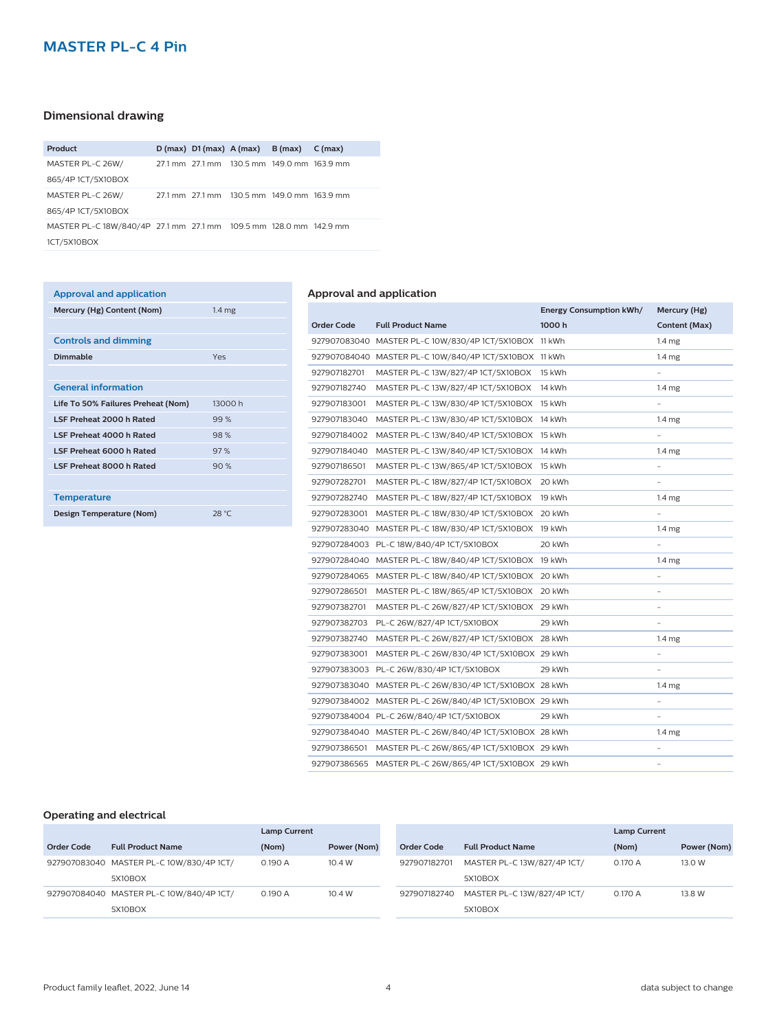### **Dimensional drawing**

| Product                                                           |  | $D(max)$ $D1(max)$ $A(max)$ $B(max)$ $C(max)$ |  |
|-------------------------------------------------------------------|--|-----------------------------------------------|--|
| MASTER PL-C 26W/                                                  |  | 27.1 mm 27.1 mm 130.5 mm 149.0 mm 163.9 mm    |  |
| 865/4P 1CT/5X10BOX                                                |  |                                               |  |
| MASTER PL-C 26W/                                                  |  | 27.1 mm 27.1 mm 130.5 mm 149.0 mm 163.9 mm    |  |
| 865/4P 1CT/5X10BOX                                                |  |                                               |  |
| MASTER PL-C 18W/840/4P 27.1 mm 27.1 mm 109.5 mm 128.0 mm 142.9 mm |  |                                               |  |
| 1CT/5X10BOX                                                       |  |                                               |  |

# **Approval and application**

| Mercury (Hg) Content (Nom)         | 1.4 <sub>mg</sub> |
|------------------------------------|-------------------|
|                                    |                   |
| <b>Controls and dimming</b>        |                   |
| Dimmable                           | Yes               |
|                                    |                   |
| <b>General information</b>         |                   |
| Life To 50% Failures Preheat (Nom) | 13000 h           |
| LSF Preheat 2000 h Rated           | 99%               |
| LSF Preheat 4000 h Rated           | 98%               |
| LSF Preheat 6000 h Rated           | 97%               |
| LSF Preheat 8000 h Rated           | 90%               |
|                                    |                   |
| <b>Temperature</b>                 |                   |
| Design Temperature (Nom)           | 28 °C             |

#### **Approval and application**

|                   |                                                        | <b>Energy Consumption kWh/</b> | Mercury (Hg)             |
|-------------------|--------------------------------------------------------|--------------------------------|--------------------------|
| <b>Order Code</b> | <b>Full Product Name</b>                               | 1000h                          | Content (Max)            |
|                   | 927907083040 MASTER PL-C 10W/830/4P 1CT/5X10BOX 11 kWh |                                | 1.4 <sub>mg</sub>        |
|                   | 927907084040 MASTER PL-C 10W/840/4P 1CT/5X10BOX        | 11 kWh                         | 1.4 <sub>mg</sub>        |
| 927907182701      | MASTER PL-C 13W/827/4P 1CT/5X10BOX                     | 15 kWh                         |                          |
| 927907182740      | MASTER PL-C 13W/827/4P 1CT/5X10BOX                     | 14 kWh                         | 1.4 <sub>mg</sub>        |
| 927907183001      | MASTER PL-C 13W/830/4P 1CT/5X10BOX                     | 15 kWh                         |                          |
| 927907183040      | MASTER PL-C 13W/830/4P 1CT/5X10BOX                     | 14 kWh                         | 1.4 <sub>mg</sub>        |
| 927907184002      | MASTER PL-C 13W/840/4P 1CT/5X10BOX                     | 15 kWh                         |                          |
| 927907184040      | MASTER PL-C 13W/840/4P 1CT/5X10BOX                     | 14 kWh                         | 1.4 <sub>mg</sub>        |
| 927907186501      | MASTER PL-C 13W/865/4P 1CT/5X10BOX                     | 15 kWh                         |                          |
| 927907282701      | MASTER PL-C 18W/827/4P 1CT/5X10BOX                     | 20 kWh                         |                          |
| 927907282740      | MASTER PL-C 18W/827/4P 1CT/5X10BOX                     | 19 kWh                         | 1.4 <sub>mg</sub>        |
| 927907283001      | MASTER PL-C 18W/830/4P 1CT/5X10BOX                     | 20 kWh                         |                          |
| 927907283040      | MASTER PL-C 18W/830/4P 1CT/5X10BOX                     | 19 kWh                         | 1.4 <sub>mg</sub>        |
|                   | 927907284003 PL-C 18W/840/4P 1CT/5X10BOX               | 20 kWh                         |                          |
|                   | 927907284040 MASTER PL-C 18W/840/4P 1CT/5X10BOX        | 19 kWh                         | 1.4 <sub>mg</sub>        |
|                   | 927907284065 MASTER PL-C 18W/840/4P 1CT/5X10BOX        | 20 kWh                         | ÷                        |
| 927907286501      | MASTER PL-C 18W/865/4P 1CT/5X10BOX                     | 20 kWh                         | ÷,                       |
| 927907382701      | MASTER PL-C 26W/827/4P 1CT/5X10BOX                     | 29 kWh                         | ÷                        |
| 927907382703      | PL-C 26W/827/4P 1CT/5X10BOX                            | 29 kWh                         | $\overline{\phantom{a}}$ |
| 927907382740      | MASTER PL-C 26W/827/4P 1CT/5X10BOX 28 kWh              |                                | 1.4 <sub>mg</sub>        |
| 927907383001      | MASTER PL-C 26W/830/4P 1CT/5X10BOX 29 kWh              |                                | $\overline{\phantom{0}}$ |
|                   | 927907383003 PL-C 26W/830/4P 1CT/5X10BOX               | 29 kWh                         |                          |
|                   | 927907383040 MASTER PL-C 26W/830/4P 1CT/5X10BOX 28 kWh |                                | 1.4 <sub>mg</sub>        |
|                   | 927907384002 MASTER PL-C 26W/840/4P 1CT/5X10BOX 29 kWh |                                |                          |
|                   | 927907384004 PL-C 26W/840/4P 1CT/5X10BOX               | 29 kWh                         |                          |
|                   | 927907384040 MASTER PL-C 26W/840/4P 1CT/5X10BOX 28 kWh |                                | 1.4 <sub>mg</sub>        |
| 927907386501      | MASTER PL-C 26W/865/4P 1CT/5X10BOX 29 kWh              |                                |                          |
| 927907386565      | MASTER PL-C 26W/865/4P 1CT/5X10BOX 29 kWh              |                                |                          |

#### **Operating and electrical**

|            |                                          | <b>Lamp Current</b> |             |              |                             | <b>Lamp Current</b> |             |
|------------|------------------------------------------|---------------------|-------------|--------------|-----------------------------|---------------------|-------------|
| Order Code | <b>Full Product Name</b>                 | (Nom)               | Power (Nom) | Order Code   | <b>Full Product Name</b>    | (Nom)               | Power (Nom) |
|            | 927907083040 MASTER PL-C 10W/830/4P 1CT/ | 0.190A              | 10.4 W      | 927907182701 | MASTER PL-C 13W/827/4P 1CT/ | 0.170 A             | 13.0 W      |
|            | 5X10BOX                                  |                     |             |              | 5X10BOX                     |                     |             |
|            | 927907084040 MASTER PL-C 10W/840/4P 1CT/ | 0.190 A             | 10.4 W      | 927907182740 | MASTER PL-C 13W/827/4P 1CT/ | 0.170 A             | 13.8 W      |
|            | 5X10BOX                                  |                     |             |              | 5X10BOX                     |                     |             |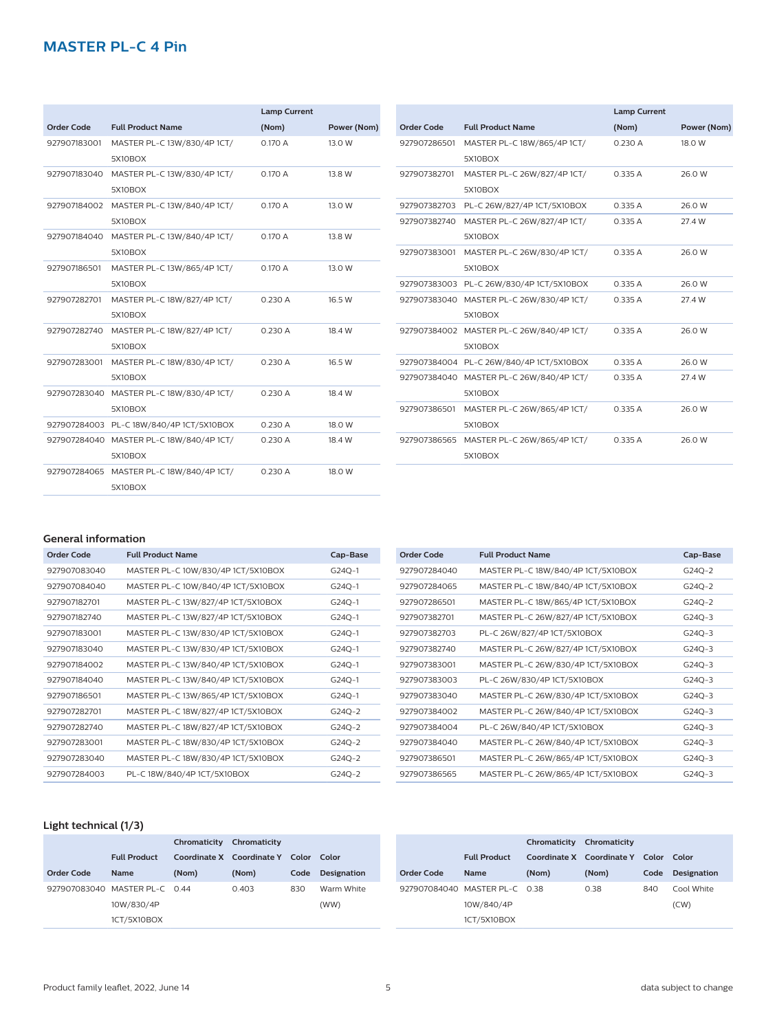|                   |                                          | <b>Lamp Current</b> |             |
|-------------------|------------------------------------------|---------------------|-------------|
| <b>Order Code</b> | <b>Full Product Name</b>                 | (Nom)               | Power (Nom) |
| 927907183001      | MASTER PL-C 13W/830/4P 1CT/              | 0.170 A             | 13.0 W      |
|                   | 5X10BOX                                  |                     |             |
| 927907183040      | MASTER PL-C 13W/830/4P 1CT/              | 0.170 A             | 13.8 W      |
|                   | 5X10BOX                                  |                     |             |
| 927907184002      | MASTER PL-C 13W/840/4P 1CT/              | 0.170 A             | 13.0 W      |
|                   | 5X10BOX                                  |                     |             |
| 927907184040      | MASTER PL-C 13W/840/4P 1CT/              | 0.170 A             | 13.8 W      |
|                   | 5X10BOX                                  |                     |             |
| 927907186501      | MASTER PL-C 13W/865/4P 1CT/              | 0.170 A             | 13.0 W      |
|                   | 5X10BOX                                  |                     |             |
| 927907282701      | MASTER PL-C 18W/827/4P 1CT/              | 0.230 A             | 16.5 W      |
|                   | 5X10BOX                                  |                     |             |
| 927907282740      | MASTER PL-C 18W/827/4P 1CT/              | 0.230 A             | 18.4 W      |
|                   | 5X10BOX                                  |                     |             |
| 927907283001      | MASTER PL-C 18W/830/4P 1CT/              | 0.230 A             | 16.5 W      |
|                   | 5X10BOX                                  |                     |             |
|                   | 927907283040 MASTER PL-C 18W/830/4P 1CT/ | 0.230 A             | 18.4 W      |
|                   | 5X10BOX                                  |                     |             |
|                   | 927907284003 PL-C 18W/840/4P 1CT/5X10BOX | 0.230 A             | 18.0 W      |
|                   | 927907284040 MASTER PL-C 18W/840/4P 1CT/ | 0.230 A             | 18.4 W      |
|                   | 5X10BOX                                  |                     |             |
|                   | 927907284065 MASTER PL-C 18W/840/4P 1CT/ | 0.230 A             | 18.0 W      |
|                   | 5X10BOX                                  |                     |             |

|                   |                                          | <b>Lamp Current</b> |             |
|-------------------|------------------------------------------|---------------------|-------------|
| <b>Order Code</b> | <b>Full Product Name</b>                 | (Nom)               | Power (Nom) |
| 927907286501      | MASTER PL-C 18W/865/4P 1CT/              | 0.230A              | 18.0 W      |
|                   | 5X10BOX                                  |                     |             |
| 927907382701      | MASTER PL-C 26W/827/4P 1CT/              | 0.335A              | 26.0 W      |
|                   | 5X10BOX                                  |                     |             |
| 927907382703      | PL-C 26W/827/4P 1CT/5X10BOX              | 0.335A              | 26.0 W      |
| 927907382740      | MASTER PL-C 26W/827/4P 1CT/              | 0.335 A             | 27.4 W      |
|                   | 5X10BOX                                  |                     |             |
| 927907383001      | MASTER PL-C 26W/830/4P 1CT/              | 0.335A              | 26.0 W      |
|                   | 5X10BOX                                  |                     |             |
|                   | 927907383003 PL-C 26W/830/4P 1CT/5X10BOX | 0.335A              | 26.0 W      |
| 927907383040      | MASTER PL-C 26W/830/4P 1CT/              | 0.335A              | 27.4 W      |
|                   | 5X10BOX                                  |                     |             |
|                   | 927907384002 MASTER PL-C 26W/840/4P 1CT/ | 0.335A              | 26.0 W      |
|                   | 5X10BOX                                  |                     |             |
|                   | 927907384004 PL-C 26W/840/4P 1CT/5X10BOX | 0.335A              | 26.0 W      |
| 927907384040      | MASTER PL-C 26W/840/4P 1CT/              | 0.335A              | 27.4 W      |
|                   | 5X10BOX                                  |                     |             |
| 927907386501      | MASTER PL-C 26W/865/4P 1CT/              | 0.335A              | 26.0 W      |
|                   | 5X10BOX                                  |                     |             |
| 927907386565      | MASTER PL-C 26W/865/4P 1CT/              | 0.335A              | 26.0 W      |
|                   | 5X10BOX                                  |                     |             |

#### **General information**

| <b>Order Code</b> | <b>Full Product Name</b>           | Cap-Base |
|-------------------|------------------------------------|----------|
| 927907083040      | MASTER PL-C 10W/830/4P 1CT/5X10BOX | G24Q-1   |
| 927907084040      | MASTER PL-C 10W/840/4P 1CT/5X10BOX | G24Q-1   |
| 927907182701      | MASTER PL-C 13W/827/4P 1CT/5X10BOX | G24Q-1   |
| 927907182740      | MASTER PL-C 13W/827/4P 1CT/5X10BOX | G24Q-1   |
| 927907183001      | MASTER PL-C 13W/830/4P 1CT/5X10BOX | G24Q-1   |
| 927907183040      | MASTER PL-C 13W/830/4P 1CT/5X10BOX | G24Q-1   |
| 927907184002      | MASTER PL-C 13W/840/4P 1CT/5X10BOX | $G24Q-1$ |
| 927907184040      | MASTER PL-C 13W/840/4P 1CT/5X10BOX | G24Q-1   |
| 927907186501      | MASTER PL-C 13W/865/4P 1CT/5X10BOX | $G24Q-1$ |
| 927907282701      | MASTER PL-C 18W/827/4P 1CT/5X10BOX | $G24Q-2$ |
| 927907282740      | MASTER PL-C 18W/827/4P 1CT/5X10BOX | $G24Q-2$ |
| 927907283001      | MASTER PL-C 18W/830/4P 1CT/5X10BOX | $G24Q-2$ |
| 927907283040      | MASTER PL-C 18W/830/4P 1CT/5X10BOX | $G24Q-2$ |
| 927907284003      | PL-C 18W/840/4P 1CT/5X10BOX        | $G24Q-2$ |

| Order Code   | <b>Full Product Name</b>           | Cap-Base |
|--------------|------------------------------------|----------|
| 927907284040 | MASTER PL-C 18W/840/4P 1CT/5X10BOX | G24Q-2   |
| 927907284065 | MASTER PL-C 18W/840/4P 1CT/5X10BOX | G24O-2   |
| 927907286501 | MASTER PL-C 18W/865/4P 1CT/5X10BOX | $G24Q-2$ |
| 927907382701 | MASTER PL-C 26W/827/4P 1CT/5X10BOX | $G24O-3$ |
| 927907382703 | PL-C 26W/827/4P 1CT/5X10BOX        | $G24Q-3$ |
| 927907382740 | MASTER PL-C 26W/827/4P 1CT/5X10BOX | $G24Q-3$ |
| 927907383001 | MASTER PL-C 26W/830/4P 1CT/5X10BOX | $G24Q-3$ |
| 927907383003 | PL-C 26W/830/4P 1CT/5X10BOX        | $G24Q-3$ |
| 927907383040 | MASTER PL-C 26W/830/4P 1CT/5X10BOX | G24O-3   |
| 927907384002 | MASTER PL-C 26W/840/4P 1CT/5X10BOX | $G24Q-3$ |
| 927907384004 | PL-C 26W/840/4P 1CT/5X10BOX        | $G24O-3$ |
| 927907384040 | MASTER PL-C 26W/840/4P 1CT/5X10BOX | $G24Q-3$ |
| 927907386501 | MASTER PL-C 26W/865/4P 1CT/5X10BOX | $G24O-3$ |
| 927907386565 | MASTER PL-C 26W/865/4P 1CT/5X10BOX | $G24O-3$ |

#### **Light technical (1/3)**

|                   |                               | Chromaticity | Chromaticity        |       |             |                   |                               | Chromaticity | Chromaticity        |       |             |
|-------------------|-------------------------------|--------------|---------------------|-------|-------------|-------------------|-------------------------------|--------------|---------------------|-------|-------------|
|                   | <b>Full Product</b>           | Coordinate X | <b>Coordinate Y</b> | Color | Color       |                   | <b>Full Product</b>           | Coordinate X | <b>Coordinate Y</b> | Color | Color       |
| <b>Order Code</b> | <b>Name</b>                   | (Nom)        | (Nom)               | Code  | Designation | <b>Order Code</b> | <b>Name</b>                   | (Nom)        | (Nom)               | Code  | Designation |
|                   | 927907083040 MASTER PL-C 0.44 |              | 0.403               | 830   | Warm White  |                   | 927907084040 MASTER PL-C 0.38 |              | 0.38                | 840   | Cool White  |
|                   | 10W/830/4P                    |              |                     |       | (WW)        |                   | 10W/840/4P                    |              |                     |       | (CW)        |
|                   | 1CT/5X10BOX                   |              |                     |       |             |                   | 1CT/5X10BOX                   |              |                     |       |             |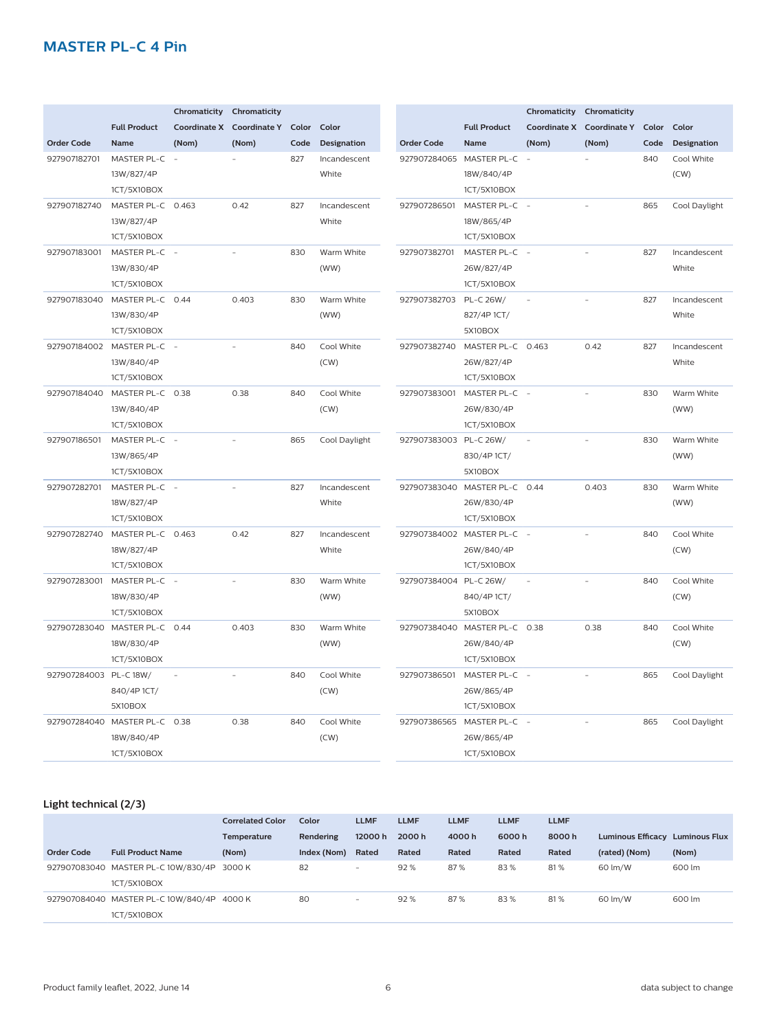|                        |                               | Chromaticity        | Chromaticity        |       |                                    |                        |                            | Chromaticity             | Chromaticity        |       |                                  |
|------------------------|-------------------------------|---------------------|---------------------|-------|------------------------------------|------------------------|----------------------------|--------------------------|---------------------|-------|----------------------------------|
|                        | <b>Full Product</b>           | <b>Coordinate X</b> | <b>Coordinate Y</b> | Color | Color                              |                        | <b>Full Product</b>        | <b>Coordinate X</b>      | <b>Coordinate Y</b> | Color | Color                            |
| <b>Order Code</b>      | <b>Name</b>                   | (Nom)               |                     | Code  |                                    | <b>Order Code</b>      | <b>Name</b>                | (Nom)                    | (Nom)               | Code  |                                  |
| 927907182701           | MASTER PL-C                   | $\sim$              | (Nom)               | 827   | <b>Designation</b><br>Incandescent | 927907284065           | MASTER PL-C                | $\overline{\phantom{a}}$ |                     | 840   | <b>Designation</b><br>Cool White |
|                        | 13W/827/4P                    |                     |                     |       | White                              |                        | 18W/840/4P                 |                          |                     |       | (CW)                             |
|                        | 1CT/5X10BOX                   |                     |                     |       |                                    |                        | 1CT/5X10BOX                |                          |                     |       |                                  |
| 927907182740           | MASTER PL-C 0.463             |                     | 0.42                | 827   | Incandescent                       | 927907286501           | MASTER PL-C -              |                          |                     | 865   | Cool Daylight                    |
|                        | 13W/827/4P                    |                     |                     |       | White                              |                        | 18W/865/4P                 |                          |                     |       |                                  |
|                        | 1CT/5X10BOX                   |                     |                     |       |                                    |                        | 1CT/5X10BOX                |                          |                     |       |                                  |
| 927907183001           | MASTER PL-C -                 |                     |                     | 830   | Warm White                         | 927907382701           | MASTER PL-C -              |                          |                     | 827   | Incandescent                     |
|                        | 13W/830/4P                    |                     |                     |       | (WW)                               |                        | 26W/827/4P                 |                          |                     |       | White                            |
|                        | 1CT/5X10BOX                   |                     |                     |       |                                    |                        | 1CT/5X10BOX                |                          |                     |       |                                  |
| 927907183040           | MASTER PL-C 0.44              |                     | 0.403               | 830   | Warm White                         | 927907382703           | PL-C 26W/                  |                          |                     | 827   | Incandescent                     |
|                        | 13W/830/4P                    |                     |                     |       | (WW)                               |                        | 827/4P 1CT/                |                          |                     |       | White                            |
|                        | 1CT/5X10BOX                   |                     |                     |       |                                    |                        | 5X10BOX                    |                          |                     |       |                                  |
|                        | 927907184002 MASTER PL-C -    |                     |                     | 840   | Cool White                         | 927907382740           | MASTER PL-C 0.463          |                          | 0.42                | 827   | Incandescent                     |
|                        | 13W/840/4P                    |                     |                     |       | (CW)                               |                        | 26W/827/4P                 |                          |                     |       | White                            |
|                        | 1CT/5X10BOX                   |                     |                     |       |                                    |                        | 1CT/5X10BOX                |                          |                     |       |                                  |
| 927907184040           | MASTER PL-C 0.38              |                     | 0.38                | 840   | Cool White                         | 927907383001           | MASTER PL-C -              |                          |                     | 830   | Warm White                       |
|                        | 13W/840/4P                    |                     |                     |       | (CW)                               |                        | 26W/830/4P                 |                          |                     |       | (WW)                             |
|                        | 1CT/5X10BOX                   |                     |                     |       |                                    |                        | 1CT/5X10BOX                |                          |                     |       |                                  |
| 927907186501           | MASTER PL-C -                 |                     |                     | 865   | Cool Daylight                      | 927907383003           | <b>PL-C 26W/</b>           | $\overline{\phantom{a}}$ | ÷,                  | 830   | Warm White                       |
|                        | 13W/865/4P                    |                     |                     |       |                                    |                        | 830/4P 1CT/                |                          |                     |       | (WW)                             |
|                        | 1CT/5X10BOX                   |                     |                     |       |                                    |                        | 5X10BOX                    |                          |                     |       |                                  |
| 927907282701           | MASTER PL-C -                 |                     |                     | 827   | Incandescent                       | 927907383040           | <b>MASTER PL-C</b>         | 0.44                     | 0.403               | 830   | Warm White                       |
|                        | 18W/827/4P                    |                     |                     |       | White                              |                        | 26W/830/4P                 |                          |                     |       | (WW)                             |
|                        | 1CT/5X10BOX                   |                     |                     |       |                                    |                        | 1CT/5X10BOX                |                          |                     |       |                                  |
| 927907282740           | MASTER PL-C 0.463             |                     | 0.42                | 827   | Incandescent                       |                        | 927907384002 MASTER PL-C - |                          |                     | 840   | Cool White                       |
|                        | 18W/827/4P                    |                     |                     |       | White                              |                        | 26W/840/4P                 |                          |                     |       | (CW)                             |
|                        | 1CT/5X10BOX                   |                     |                     |       |                                    |                        | 1CT/5X10BOX                |                          |                     |       |                                  |
| 927907283001           | MASTER PL-C -                 |                     |                     | 830   | Warm White                         | 927907384004 PL-C 26W/ |                            |                          |                     | 840   | Cool White                       |
|                        | 18W/830/4P                    |                     |                     |       | (WW)                               |                        | 840/4P 1CT/                |                          |                     |       | (CW)                             |
|                        | 1CT/5X10BOX                   |                     |                     |       |                                    |                        | 5X10BOX                    |                          |                     |       |                                  |
|                        | 927907283040 MASTER PL-C      | 0.44                | 0.403               | 830   | Warm White                         | 927907384040           | MASTER PL-C                | 0.38                     | 0.38                | 840   | Cool White                       |
|                        | 18W/830/4P                    |                     |                     |       | (WW)                               |                        | 26W/840/4P                 |                          |                     |       | (CW)                             |
|                        | 1CT/5X10BOX                   |                     |                     |       |                                    |                        | 1CT/5X10BOX                |                          |                     |       |                                  |
| 927907284003 PL-C 18W/ |                               |                     |                     | 840   | Cool White                         | 927907386501           | MASTER PL-C -              |                          |                     | 865   | Cool Daylight                    |
|                        | 840/4P 1CT/                   |                     |                     |       | (CW)                               |                        | 26W/865/4P                 |                          |                     |       |                                  |
|                        | 5X10BOX                       |                     |                     |       |                                    |                        | 1CT/5X10BOX                |                          |                     |       |                                  |
|                        | 927907284040 MASTER PL-C 0.38 |                     | 0.38                | 840   | Cool White                         | 927907386565           | MASTER PL-C -              |                          |                     | 865   | Cool Daylight                    |
|                        | 18W/840/4P                    |                     |                     |       | (CW)                               |                        | 26W/865/4P                 |                          |                     |       |                                  |
|                        | 1CT/5X10BOX                   |                     |                     |       |                                    |                        | 1CT/5X10BOX                |                          |                     |       |                                  |

#### **Light technical (2/3)**

|            |                                            | <b>Correlated Color</b> | Color       | <b>LLMF</b>              | <b>LLMF</b> | <b>LLMF</b> | <b>LLMF</b> | <b>LLMF</b> |                                 |        |
|------------|--------------------------------------------|-------------------------|-------------|--------------------------|-------------|-------------|-------------|-------------|---------------------------------|--------|
|            |                                            | <b>Temperature</b>      | Rendering   | 12000 h                  | 2000 h      | 4000 h      | 6000h       | 8000h       | Luminous Efficacy Luminous Flux |        |
| Order Code | <b>Full Product Name</b>                   | (Nom)                   | Index (Nom) | Rated                    | Rated       | Rated       | Rated       | Rated       | (rated) (Nom)                   | (Nom)  |
|            | 927907083040 MASTER PL-C 10W/830/4P 3000 K |                         | 82          | $\overline{\phantom{a}}$ | 92%         | 87%         | 83%         | 81%         | 60 lm/W                         | 600 lm |
|            | 1CT/5X10BOX                                |                         |             |                          |             |             |             |             |                                 |        |
|            | 927907084040 MASTER PL-C 10W/840/4P 4000 K |                         | 80          | $\overline{\phantom{a}}$ | 92%         | 87%         | 83%         | 81%         | 60 lm/W                         | 600 lm |
|            | 1CT/5X10BOX                                |                         |             |                          |             |             |             |             |                                 |        |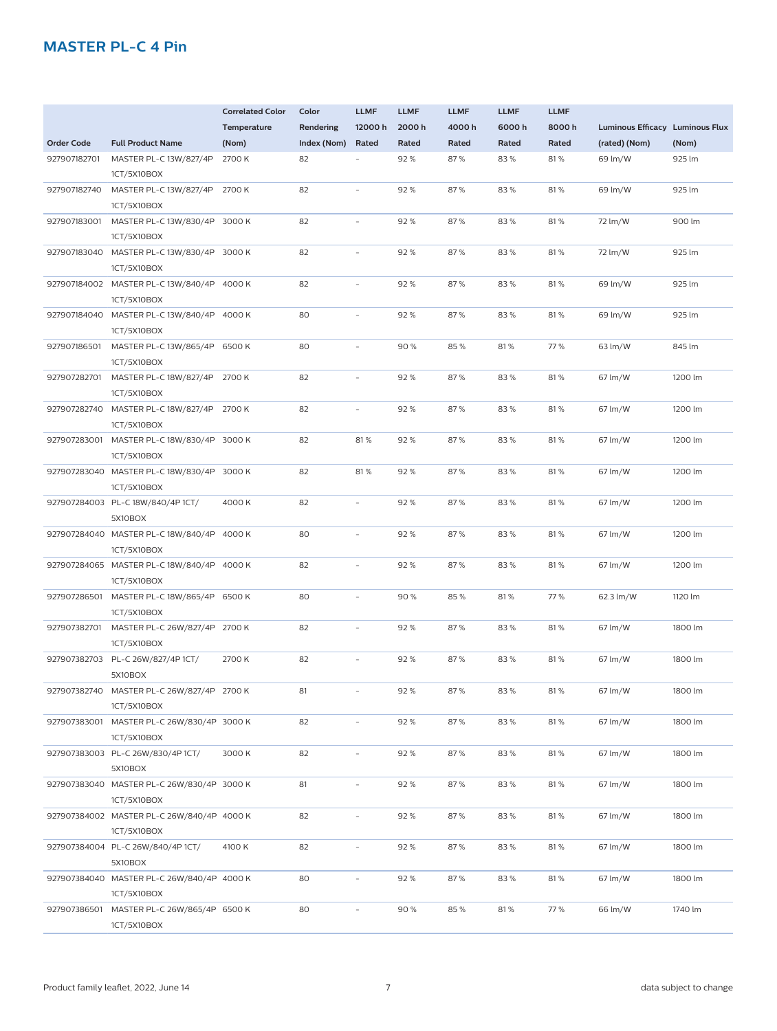|                   |                                            | <b>Correlated Color</b> | Color       | <b>LLMF</b>              | <b>LLMF</b> | <b>LLMF</b> | <b>LLMF</b> | <b>LLMF</b> |                                 |         |
|-------------------|--------------------------------------------|-------------------------|-------------|--------------------------|-------------|-------------|-------------|-------------|---------------------------------|---------|
|                   |                                            | Temperature             | Rendering   | 12000h                   | 2000h       | 4000h       | 6000h       | 8000h       | Luminous Efficacy Luminous Flux |         |
| <b>Order Code</b> | <b>Full Product Name</b>                   | (Nom)                   | Index (Nom) | Rated                    | Rated       | Rated       | Rated       | Rated       | (rated) (Nom)                   | (Nom)   |
|                   |                                            | 2700 K                  |             |                          | 92%         | 87%         | 83%         | 81%         |                                 |         |
| 927907182701      | MASTER PL-C 13W/827/4P                     |                         | 82          |                          |             |             |             |             | 69 lm/W                         | 925 lm  |
|                   | 1CT/5X10BOX                                |                         |             |                          |             |             |             |             |                                 |         |
| 927907182740      | MASTER PL-C 13W/827/4P 2700 K              |                         | 82          | $\overline{\phantom{a}}$ | 92%         | 87%         | 83%         | 81%         | 69 lm/W                         | 925 lm  |
|                   | 1CT/5X10BOX                                |                         |             |                          |             |             |             |             |                                 |         |
| 927907183001      | MASTER PL-C 13W/830/4P 3000 K              |                         | 82          | $\overline{\phantom{a}}$ | 92%         | 87%         | 83%         | 81%         | 72 lm/W                         | 900 lm  |
|                   | 1CT/5X10BOX                                |                         |             |                          |             |             |             |             |                                 |         |
|                   | 927907183040 MASTER PL-C 13W/830/4P 3000 K |                         | 82          | $\overline{\phantom{a}}$ | 92%         | 87%         | 83%         | 81%         | 72 lm/W                         | 925 lm  |
|                   | 1CT/5X10BOX                                |                         |             |                          |             |             |             |             |                                 |         |
|                   | 927907184002 MASTER PL-C 13W/840/4P 4000 K |                         | 82          | $\overline{\phantom{a}}$ | 92%         | 87%         | 83%         | 81%         | 69 lm/W                         | 925 lm  |
|                   | 1CT/5X10BOX                                |                         |             |                          |             |             |             |             |                                 |         |
|                   | 927907184040 MASTER PL-C 13W/840/4P 4000 K |                         | 80          | $\overline{\phantom{a}}$ | 92%         | 87%         | 83%         | 81%         | 69 lm/W                         | 925 lm  |
|                   | 1CT/5X10BOX                                |                         |             |                          |             |             |             |             |                                 |         |
| 927907186501      | MASTER PL-C 13W/865/4P 6500 K              |                         | 80          | $\overline{\phantom{a}}$ | 90%         | 85%         | 81%         | 77 %        | 63 lm/W                         | 845 lm  |
|                   | 1CT/5X10BOX                                |                         |             |                          |             |             |             |             |                                 |         |
| 927907282701      | MASTER PL-C 18W/827/4P 2700 K              |                         | 82          | $\overline{\phantom{a}}$ | 92%         | 87%         | 83%         | 81%         | 67 lm/W                         | 1200 lm |
|                   | 1CT/5X10BOX                                |                         |             |                          |             |             |             |             |                                 |         |
|                   | 927907282740 MASTER PL-C 18W/827/4P 2700 K |                         | 82          | $\overline{\phantom{a}}$ | 92%         | 87%         | 83%         | 81%         | 67 lm/W                         | 1200 lm |
|                   | 1CT/5X10BOX                                |                         |             |                          |             |             |             |             |                                 |         |
|                   | 927907283001 MASTER PL-C 18W/830/4P 3000 K |                         | 82          | 81%                      | 92%         | 87%         | 83%         | 81%         | 67 lm/W                         | 1200 lm |
|                   | 1CT/5X10BOX                                |                         |             |                          |             |             |             |             |                                 |         |
|                   | 927907283040 MASTER PL-C 18W/830/4P 3000 K |                         | 82          | 81%                      | 92%         | 87%         | 83%         | 81%         | 67 lm/W                         | 1200 lm |
|                   | 1CT/5X10BOX                                |                         |             |                          |             |             |             |             |                                 |         |
|                   | 927907284003 PL-C 18W/840/4P 1CT/          | 4000 K                  | 82          | $\overline{\phantom{a}}$ | 92%         | 87%         | 83%         | 81%         | 67 lm/W                         | 1200 lm |
|                   | 5X10BOX                                    |                         |             |                          |             |             |             |             |                                 |         |
|                   | 927907284040 MASTER PL-C 18W/840/4P 4000 K |                         | 80          | $\overline{\phantom{a}}$ | 92%         | 87%         | 83%         | 81%         | 67 lm/W                         | 1200 lm |
|                   | 1CT/5X10BOX                                |                         |             |                          |             |             |             |             |                                 |         |
|                   | 927907284065 MASTER PL-C 18W/840/4P 4000 K |                         | 82          | $\overline{\phantom{a}}$ | 92%         | 87%         | 83%         | 81%         | 67 lm/W                         | 1200 lm |
|                   | 1CT/5X10BOX                                |                         |             |                          |             |             |             |             |                                 |         |
|                   | 927907286501 MASTER PL-C 18W/865/4P 6500 K |                         | 80          | $\overline{\phantom{a}}$ | 90%         | 85%         | 81%         | 77 %        | 62.3 lm/W                       | 1120 lm |
|                   | 1CT/5X10BOX                                |                         |             |                          |             |             |             |             |                                 |         |
| 927907382701      | MASTER PL-C 26W/827/4P 2700 K              |                         | 82          | $\overline{\phantom{a}}$ | 92%         | 87%         | 83%         | 81%         | 67 lm/W                         | 1800 lm |
|                   | 1CT/5X10BOX                                |                         |             |                          |             |             |             |             |                                 |         |
|                   | 927907382703 PL-C 26W/827/4P 1CT/          | 2700 K                  | 82          | $\overline{\phantom{a}}$ | 92%         | 87%         | 83%         | 81%         |                                 | 1800 lm |
|                   |                                            |                         |             |                          |             |             |             |             | 67 lm/W                         |         |
|                   | 5X10BOX                                    |                         |             |                          |             |             |             |             |                                 |         |
|                   | 927907382740 MASTER PL-C 26W/827/4P 2700 K |                         | 81          |                          | 92%         | 87%         | 83%         | 81%         | 67 lm/W                         | 1800 lm |
|                   | 1CT/5X10BOX                                |                         |             |                          |             |             |             |             |                                 |         |
|                   | 927907383001 MASTER PL-C 26W/830/4P 3000 K |                         | 82          | $\overline{\phantom{a}}$ | 92%         | 87%         | 83%         | 81%         | 67 lm/W                         | 1800 lm |
|                   | 1CT/5X10BOX                                |                         |             |                          |             |             |             |             |                                 |         |
|                   | 927907383003 PL-C 26W/830/4P 1CT/          | 3000 K                  | 82          | $\overline{\phantom{a}}$ | 92%         | 87%         | 83%         | 81%         | 67 lm/W                         | 1800 lm |
|                   | 5X10BOX                                    |                         |             |                          |             |             |             |             |                                 |         |
|                   | 927907383040 MASTER PL-C 26W/830/4P 3000 K |                         | 81          | $\overline{\phantom{a}}$ | 92%         | 87%         | 83%         | 81%         | 67 lm/W                         | 1800 lm |
|                   | 1CT/5X10BOX                                |                         |             |                          |             |             |             |             |                                 |         |
|                   | 927907384002 MASTER PL-C 26W/840/4P 4000 K |                         | 82          | $\overline{\phantom{a}}$ | 92%         | 87%         | 83%         | 81%         | 67 lm/W                         | 1800 lm |
|                   | 1CT/5X10BOX                                |                         |             |                          |             |             |             |             |                                 |         |
|                   | 927907384004 PL-C 26W/840/4P 1CT/          | 4100 K                  | 82          | $\overline{\phantom{a}}$ | 92%         | 87%         | 83%         | 81%         | 67 lm/W                         | 1800 lm |
|                   | 5X10BOX                                    |                         |             |                          |             |             |             |             |                                 |         |
|                   | 927907384040 MASTER PL-C 26W/840/4P 4000 K |                         | 80          | $\overline{\phantom{a}}$ | 92%         | 87%         | 83%         | 81%         | 67 lm/W                         | 1800 lm |
|                   | 1CT/5X10BOX                                |                         |             |                          |             |             |             |             |                                 |         |
|                   | 927907386501 MASTER PL-C 26W/865/4P 6500 K |                         | 80          | $\bar{ }$                | 90%         | 85%         | 81%         | 77%         | 66 lm/W                         | 1740 lm |
|                   | 1CT/5X10BOX                                |                         |             |                          |             |             |             |             |                                 |         |